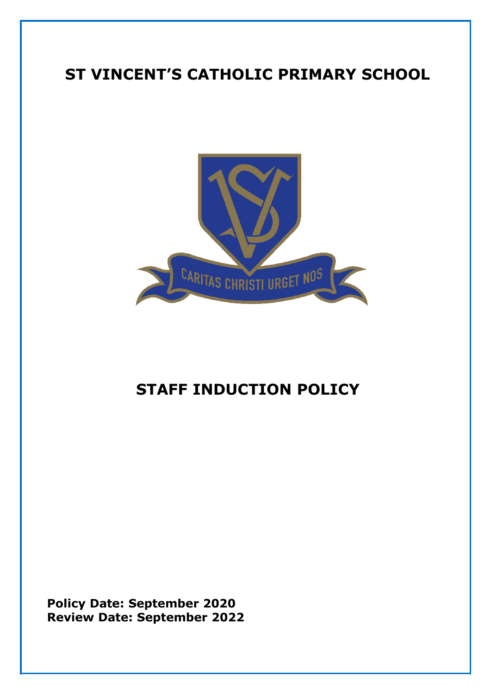# **ST VINCENT'S CATHOLIC PRIMARY SCHOOL**



# **STAFF INDUCTION POLICY**

**Policy Date: September 2020 Review Date: September 2022**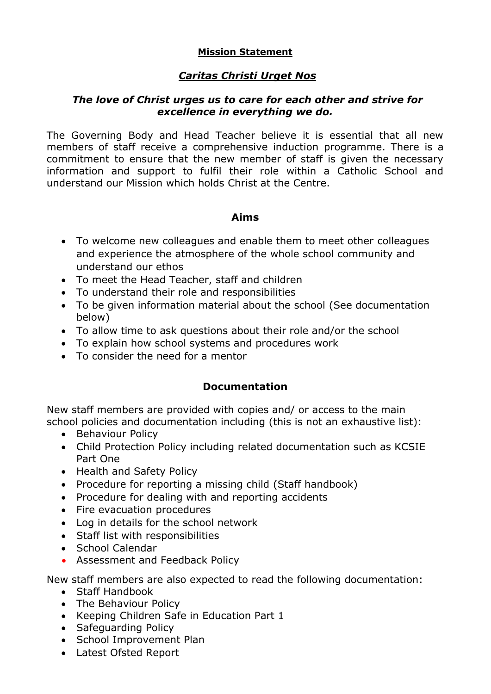#### **Mission Statement**

### *Caritas Christi Urget Nos*

#### *The love of Christ urges us to care for each other and strive for excellence in everything we do.*

The Governing Body and Head Teacher believe it is essential that all new members of staff receive a comprehensive induction programme. There is a commitment to ensure that the new member of staff is given the necessary information and support to fulfil their role within a Catholic School and understand our Mission which holds Christ at the Centre.

#### **Aims**

- To welcome new colleagues and enable them to meet other colleagues and experience the atmosphere of the whole school community and understand our ethos
- To meet the Head Teacher, staff and children
- To understand their role and responsibilities
- To be given information material about the school (See documentation below)
- To allow time to ask questions about their role and/or the school
- To explain how school systems and procedures work
- To consider the need for a mentor

## **Documentation**

New staff members are provided with copies and/ or access to the main school policies and documentation including (this is not an exhaustive list):

- Behaviour Policy
- Child Protection Policy including related documentation such as KCSIE Part One
- Health and Safety Policy
- Procedure for reporting a missing child (Staff handbook)
- Procedure for dealing with and reporting accidents
- Fire evacuation procedures
- Log in details for the school network
- Staff list with responsibilities
- School Calendar
- Assessment and Feedback Policy

New staff members are also expected to read the following documentation:

- Staff Handbook
- The Behaviour Policy
- Keeping Children Safe in Education Part 1
- Safeguarding Policy
- School Improvement Plan
- Latest Ofsted Report